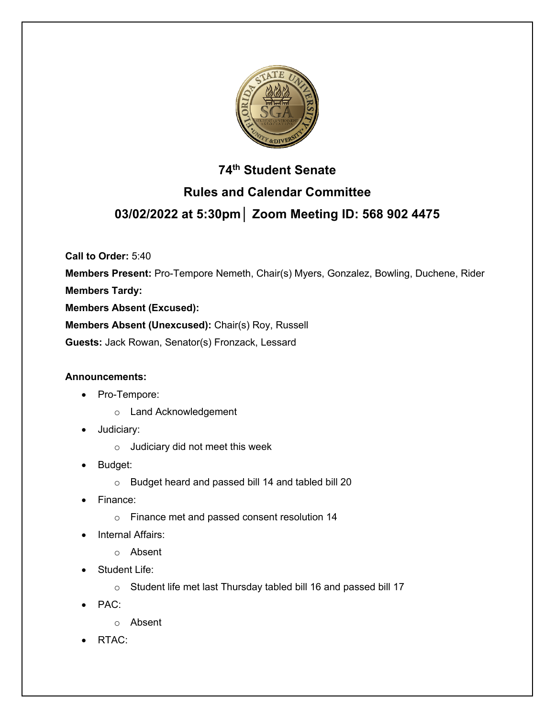

# **74th Student Senate Rules and Calendar Committee 03/02/2022 at 5:30pm│ Zoom Meeting ID: 568 902 4475**

**Call to Order:** 5:40

**Members Present:** Pro-Tempore Nemeth, Chair(s) Myers, Gonzalez, Bowling, Duchene, Rider **Members Tardy: Members Absent (Excused): Members Absent (Unexcused):** Chair(s) Roy, Russell

**Guests:** Jack Rowan, Senator(s) Fronzack, Lessard

## **Announcements:**

- Pro-Tempore:
	- o Land Acknowledgement
- Judiciary:
	- o Judiciary did not meet this week
- Budget:
	- o Budget heard and passed bill 14 and tabled bill 20
- Finance:
	- o Finance met and passed consent resolution 14
- **Internal Affairs:** 
	- o Absent
- Student Life:
	- o Student life met last Thursday tabled bill 16 and passed bill 17
- PAC:
	- o Absent
- RTAC: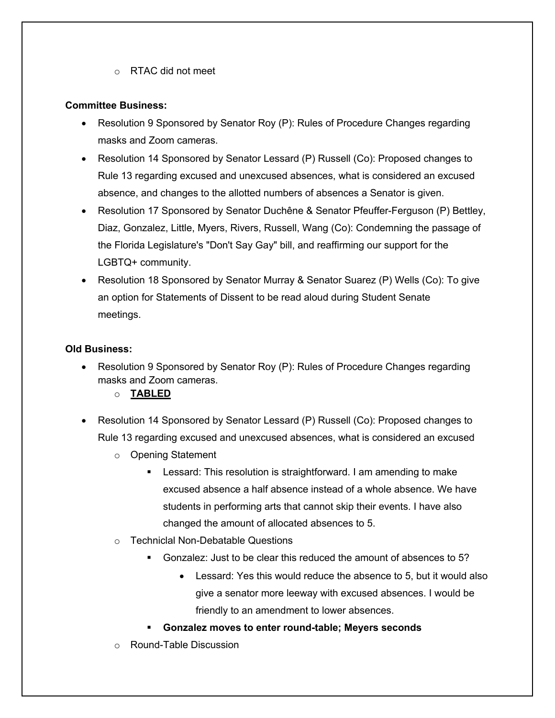o RTAC did not meet

### **Committee Business:**

- Resolution 9 Sponsored by Senator Roy (P): Rules of Procedure Changes regarding masks and Zoom cameras.
- Resolution 14 Sponsored by Senator Lessard (P) Russell (Co): Proposed changes to Rule 13 regarding excused and unexcused absences, what is considered an excused absence, and changes to the allotted numbers of absences a Senator is given.
- Resolution 17 Sponsored by Senator Duchêne & Senator Pfeuffer-Ferguson (P) Bettley, Diaz, Gonzalez, Little, Myers, Rivers, Russell, Wang (Co): Condemning the passage of the Florida Legislature's "Don't Say Gay" bill, and reaffirming our support for the LGBTQ+ community.
- Resolution 18 Sponsored by Senator Murray & Senator Suarez (P) Wells (Co): To give an option for Statements of Dissent to be read aloud during Student Senate meetings.

## **Old Business:**

- Resolution 9 Sponsored by Senator Roy (P): Rules of Procedure Changes regarding masks and Zoom cameras.
	- o **TABLED**
- Resolution 14 Sponsored by Senator Lessard (P) Russell (Co): Proposed changes to Rule 13 regarding excused and unexcused absences, what is considered an excused
	- o Opening Statement
		- Lessard: This resolution is straightforward. I am amending to make excused absence a half absence instead of a whole absence. We have students in performing arts that cannot skip their events. I have also changed the amount of allocated absences to 5.
	- o Techniclal Non-Debatable Questions
		- § Gonzalez: Just to be clear this reduced the amount of absences to 5?
			- Lessard: Yes this would reduce the absence to 5, but it would also give a senator more leeway with excused absences. I would be friendly to an amendment to lower absences.
		- § **Gonzalez moves to enter round-table; Meyers seconds**
	- o Round-Table Discussion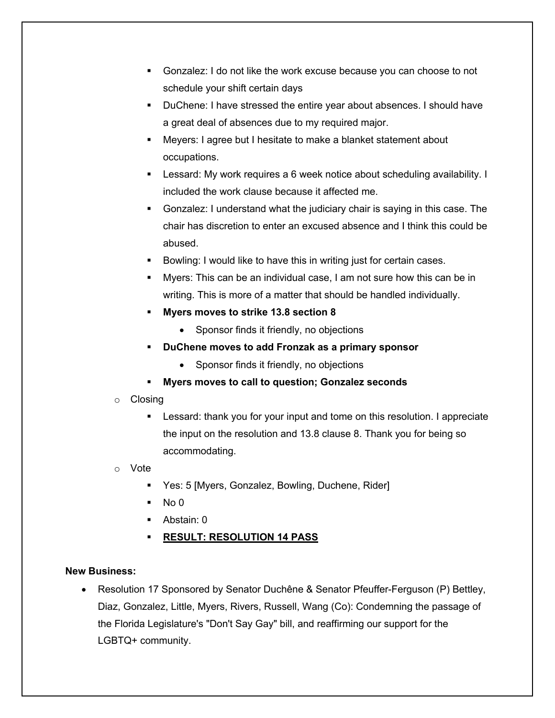- § Gonzalez: I do not like the work excuse because you can choose to not schedule your shift certain days
- § DuChene: I have stressed the entire year about absences. I should have a great deal of absences due to my required major.
- Meyers: I agree but I hesitate to make a blanket statement about occupations.
- Lessard: My work requires a 6 week notice about scheduling availability. I included the work clause because it affected me.
- § Gonzalez: I understand what the judiciary chair is saying in this case. The chair has discretion to enter an excused absence and I think this could be abused.
- Bowling: I would like to have this in writing just for certain cases.
- § Myers: This can be an individual case, I am not sure how this can be in writing. This is more of a matter that should be handled individually.
- § **Myers moves to strike 13.8 section 8**
	- Sponsor finds it friendly, no objections
- § **DuChene moves to add Fronzak as a primary sponsor**
	- Sponsor finds it friendly, no objections
- § **Myers moves to call to question; Gonzalez seconds**
- o Closing
	- Lessard: thank you for your input and tome on this resolution. I appreciate the input on the resolution and 13.8 clause 8. Thank you for being so accommodating.
- o Vote
	- Yes: 5 [Myers, Gonzalez, Bowling, Duchene, Rider]
	- $No<sub>0</sub>$
	- § Abstain: 0
	- § **RESULT: RESOLUTION 14 PASS**

## **New Business:**

• Resolution 17 Sponsored by Senator Duchêne & Senator Pfeuffer-Ferguson (P) Bettley, Diaz, Gonzalez, Little, Myers, Rivers, Russell, Wang (Co): Condemning the passage of the Florida Legislature's "Don't Say Gay" bill, and reaffirming our support for the LGBTQ+ community.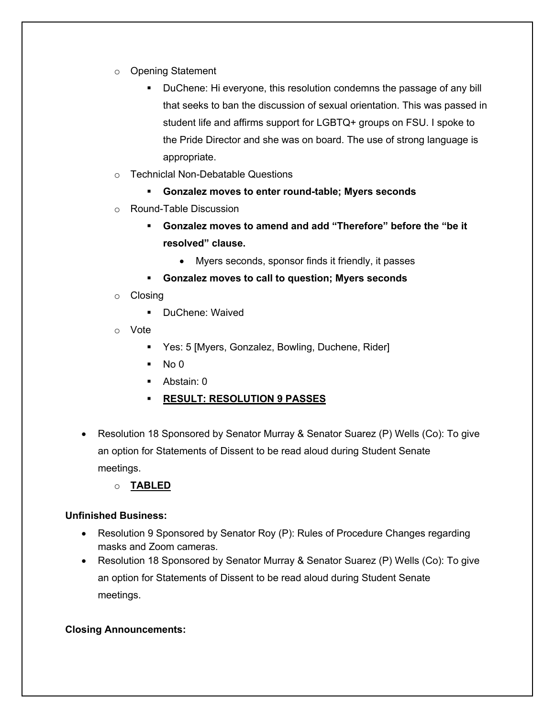- o Opening Statement
	- DuChene: Hi everyone, this resolution condemns the passage of any bill that seeks to ban the discussion of sexual orientation. This was passed in student life and affirms support for LGBTQ+ groups on FSU. I spoke to the Pride Director and she was on board. The use of strong language is appropriate.
- o Techniclal Non-Debatable Questions
	- § **Gonzalez moves to enter round-table; Myers seconds**
- o Round-Table Discussion
	- § **Gonzalez moves to amend and add "Therefore" before the "be it resolved" clause.**
		- Myers seconds, sponsor finds it friendly, it passes
	- § **Gonzalez moves to call to question; Myers seconds**
- o Closing
	- DuChene: Waived
- o Vote
	- Yes: 5 [Myers, Gonzalez, Bowling, Duchene, Rider]
	- $\blacksquare$  No 0
	- Abstain: 0
	- § **RESULT: RESOLUTION 9 PASSES**
- Resolution 18 Sponsored by Senator Murray & Senator Suarez (P) Wells (Co): To give an option for Statements of Dissent to be read aloud during Student Senate meetings.
	- o **TABLED**

#### **Unfinished Business:**

- Resolution 9 Sponsored by Senator Roy (P): Rules of Procedure Changes regarding masks and Zoom cameras.
- Resolution 18 Sponsored by Senator Murray & Senator Suarez (P) Wells (Co): To give an option for Statements of Dissent to be read aloud during Student Senate meetings.

#### **Closing Announcements:**